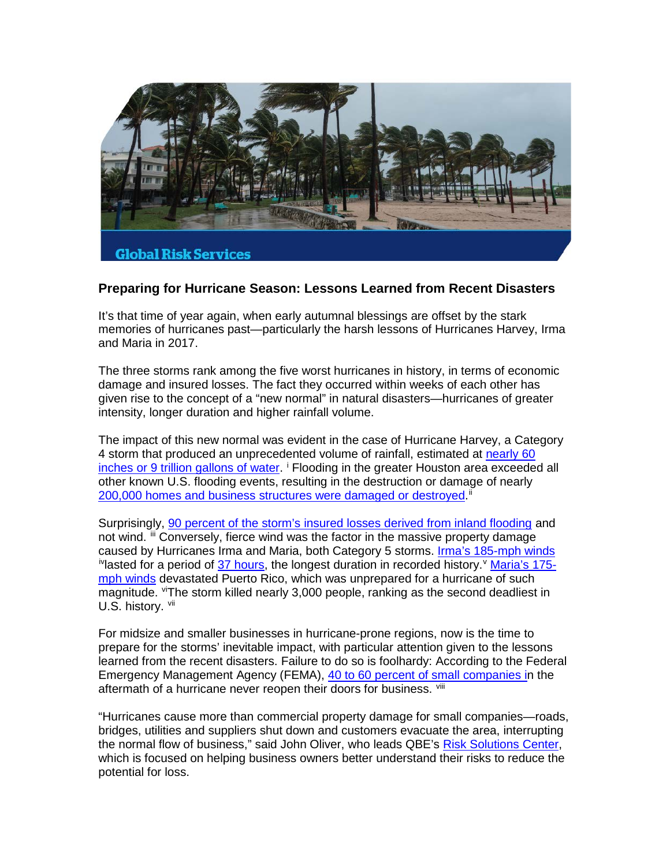

## **Preparing for Hurricane Season: Lessons Learned from Recent Disasters**

It's that time of year again, when early autumnal blessings are offset by the stark memories of hurricanes past—particularly the harsh lessons of Hurricanes Harvey, Irma and Maria in 2017.

The three storms rank among the five worst hurricanes in history, in terms of economic damage and insured losses. The fact they occurred within weeks of each other has given rise to the concept of a "new normal" in natural disasters—hurricanes of greater intensity, longer duration and higher rainfall volume.

The impact of this new normal was evident in the case of Hurricane Harvey, a Category 4 storm that produced an unprecedented volume of rainfall, estimated at [nearly 60](https://www.washingtonpost.com/news/capital-weather-gang/wp/2017/08/27/texas-flood-disaster-harvey-has-unloaded-9-trillion-tons-of-water/?utm_term=.75f9a7673ae5)  inches [or 9 trillion gallons of water.](https://www.washingtonpost.com/news/capital-weather-gang/wp/2017/08/27/texas-flood-disaster-harvey-has-unloaded-9-trillion-tons-of-water/?utm_term=.75f9a7673ae5) <sup>[i](#page-3-0)</sup> Flooding in the greater Houston area exceeded all other known U.S. flooding events, resulting in the destruction or damage of nearly [200,000 homes and business structures were damaged or destroyed.](https://www.scientificamerican.com/article/fema-approves-buyout-funds-for-houston-homes-flooded-by-harvey/)<sup>[ii](#page-3-1)</sup>

Surprisingly, [90 percent of the storm's insured losses derived from inland flooding](http://www.rms.com/blog/2018/07/23/five-reasons-to-rethink-hurricane-risk/) and not wind. <sup>[iii](#page-3-2)</sup> Conversely, fierce wind was the factor in the massive property damage caused by Hurricanes Irma and Maria, both Category 5 storms. [Irma's 185-mph winds](https://www.npr.org/sections/thetwo-way/2017/09/12/550188154/hurricane-irma-blasts-into-the-record-books-with-lasting-intensity) <sup>iv</sup>lasted for a period of [37 hours,](https://www.cbsnews.com/news/hurricane-irma-sets-record-for-37-hours-of-super-strength/) the longest duration in recorded history.<sup>[v](#page-3-4)</sup> [Maria's 175](https://weather.com/storms/hurricane/news/hurricane-maria-category-5-175-mph-winds-909-mb-pressure) mph [winds](https://weather.com/storms/hurricane/news/hurricane-maria-category-5-175-mph-winds-909-mb-pressure) devastated Puerto Rico, which was unprepared for a hurricane of such magnitude. <sup>[vi](#page-3-5)</sup>The storm killed nearly 3,000 people, ranking as the second deadliest in U.S. history. [vii](#page-3-6)

For midsize and smaller businesses in hurricane-prone regions, now is the time to prepare for the storms' inevitable impact, with particular attention given to the lessons learned from the recent disasters. Failure to do so is foolhardy: According to the Federal Emergency Management Agency (FEMA), [40 to 60 percent of small companies in](https://www.fema.gov/media-library/assets/documents/108451) the aftermath of a hurricane never reopen their doors for business. Vill

"Hurricanes cause more than commercial property damage for small companies—roads, bridges, utilities and suppliers shut down and customers evacuate the area, interrupting the normal flow of business," said John Oliver, who leads QBE's [Risk Solutions Center,](https://www.qbe.com/us/policyholders/risk-solutions-center) which is focused on helping business owners better understand their risks to reduce the potential for loss.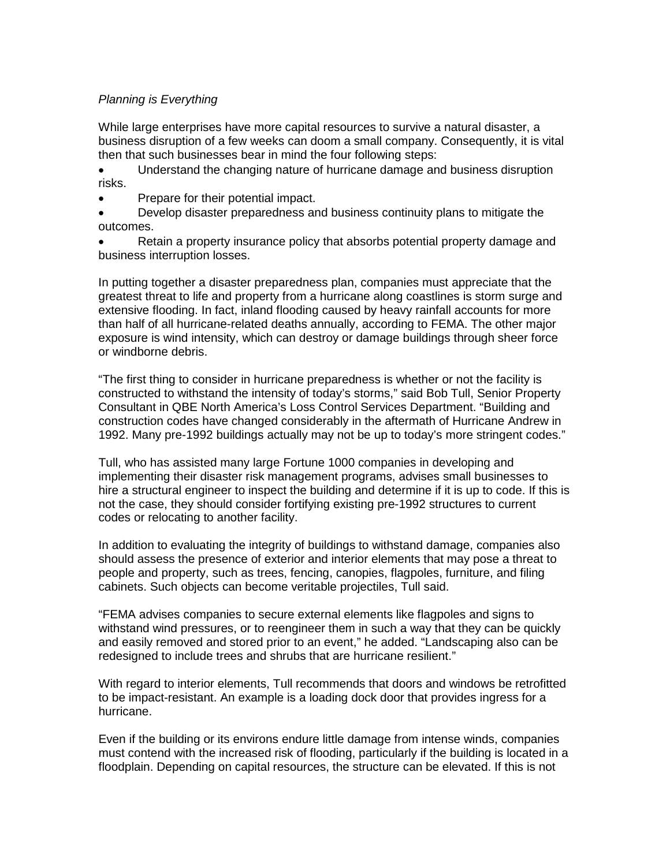## *Planning is Everything*

While large enterprises have more capital resources to survive a natural disaster, a business disruption of a few weeks can doom a small company. Consequently, it is vital then that such businesses bear in mind the four following steps:

• Understand the changing nature of hurricane damage and business disruption risks.

• Prepare for their potential impact.

• Develop disaster preparedness and business continuity plans to mitigate the outcomes.

• Retain a property insurance policy that absorbs potential property damage and business interruption losses.

In putting together a disaster preparedness plan, companies must appreciate that the greatest threat to life and property from a hurricane along coastlines is storm surge and extensive flooding. In fact, inland flooding caused by heavy rainfall accounts for more than half of all hurricane-related deaths annually, according to FEMA. The other major exposure is wind intensity, which can destroy or damage buildings through sheer force or windborne debris.

"The first thing to consider in hurricane preparedness is whether or not the facility is constructed to withstand the intensity of today's storms," said Bob Tull, Senior Property Consultant in QBE North America's Loss Control Services Department. "Building and construction codes have changed considerably in the aftermath of Hurricane Andrew in 1992. Many pre-1992 buildings actually may not be up to today's more stringent codes."

Tull, who has assisted many large Fortune 1000 companies in developing and implementing their disaster risk management programs, advises small businesses to hire a structural engineer to inspect the building and determine if it is up to code. If this is not the case, they should consider fortifying existing pre-1992 structures to current codes or relocating to another facility.

In addition to evaluating the integrity of buildings to withstand damage, companies also should assess the presence of exterior and interior elements that may pose a threat to people and property, such as trees, fencing, canopies, flagpoles, furniture, and filing cabinets. Such objects can become veritable projectiles, Tull said.

"FEMA advises companies to secure external elements like flagpoles and signs to withstand wind pressures, or to reengineer them in such a way that they can be quickly and easily removed and stored prior to an event," he added. "Landscaping also can be redesigned to include trees and shrubs that are hurricane resilient."

With regard to interior elements, Tull recommends that doors and windows be retrofitted to be impact-resistant. An example is a loading dock door that provides ingress for a hurricane.

Even if the building or its environs endure little damage from intense winds, companies must contend with the increased risk of flooding, particularly if the building is located in a floodplain. Depending on capital resources, the structure can be elevated. If this is not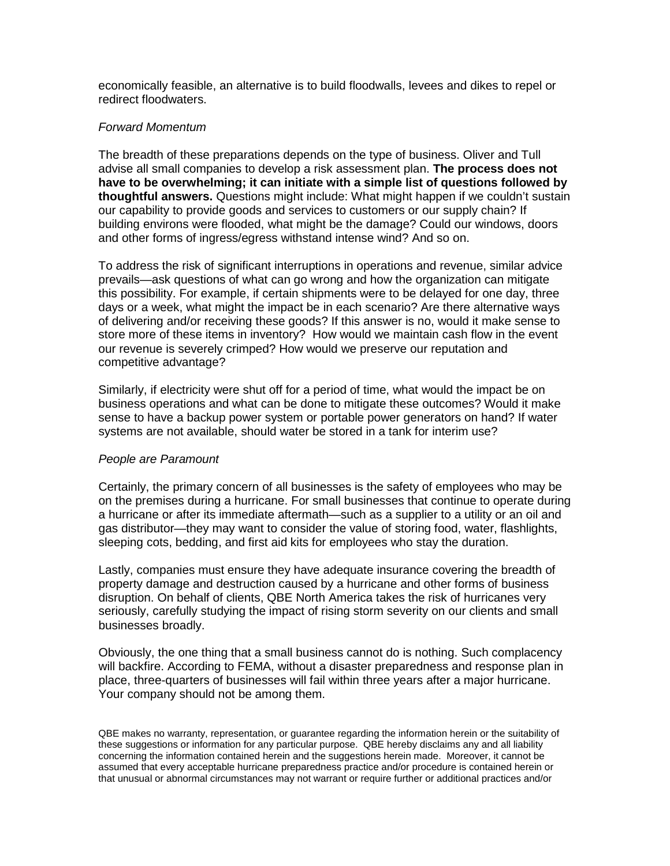economically feasible, an alternative is to build floodwalls, levees and dikes to repel or redirect floodwaters.

## *Forward Momentum*

The breadth of these preparations depends on the type of business. Oliver and Tull advise all small companies to develop a risk assessment plan. **The process does not have to be overwhelming; it can initiate with a simple list of questions followed by thoughtful answers.** Questions might include: What might happen if we couldn't sustain our capability to provide goods and services to customers or our supply chain? If building environs were flooded, what might be the damage? Could our windows, doors and other forms of ingress/egress withstand intense wind? And so on.

To address the risk of significant interruptions in operations and revenue, similar advice prevails—ask questions of what can go wrong and how the organization can mitigate this possibility. For example, if certain shipments were to be delayed for one day, three days or a week, what might the impact be in each scenario? Are there alternative ways of delivering and/or receiving these goods? If this answer is no, would it make sense to store more of these items in inventory? How would we maintain cash flow in the event our revenue is severely crimped? How would we preserve our reputation and competitive advantage?

Similarly, if electricity were shut off for a period of time, what would the impact be on business operations and what can be done to mitigate these outcomes? Would it make sense to have a backup power system or portable power generators on hand? If water systems are not available, should water be stored in a tank for interim use?

## *People are Paramount*

Certainly, the primary concern of all businesses is the safety of employees who may be on the premises during a hurricane. For small businesses that continue to operate during a hurricane or after its immediate aftermath—such as a supplier to a utility or an oil and gas distributor—they may want to consider the value of storing food, water, flashlights, sleeping cots, bedding, and first aid kits for employees who stay the duration.

Lastly, companies must ensure they have adequate insurance covering the breadth of property damage and destruction caused by a hurricane and other forms of business disruption. On behalf of clients, QBE North America takes the risk of hurricanes very seriously, carefully studying the impact of rising storm severity on our clients and small businesses broadly.

Obviously, the one thing that a small business cannot do is nothing. Such complacency will backfire. According to FEMA, without a disaster preparedness and response plan in place, three-quarters of businesses will fail within three years after a major hurricane. Your company should not be among them.

QBE makes no warranty, representation, or guarantee regarding the information herein or the suitability of these suggestions or information for any particular purpose. QBE hereby disclaims any and all liability concerning the information contained herein and the suggestions herein made. Moreover, it cannot be assumed that every acceptable hurricane preparedness practice and/or procedure is contained herein or that unusual or abnormal circumstances may not warrant or require further or additional practices and/or